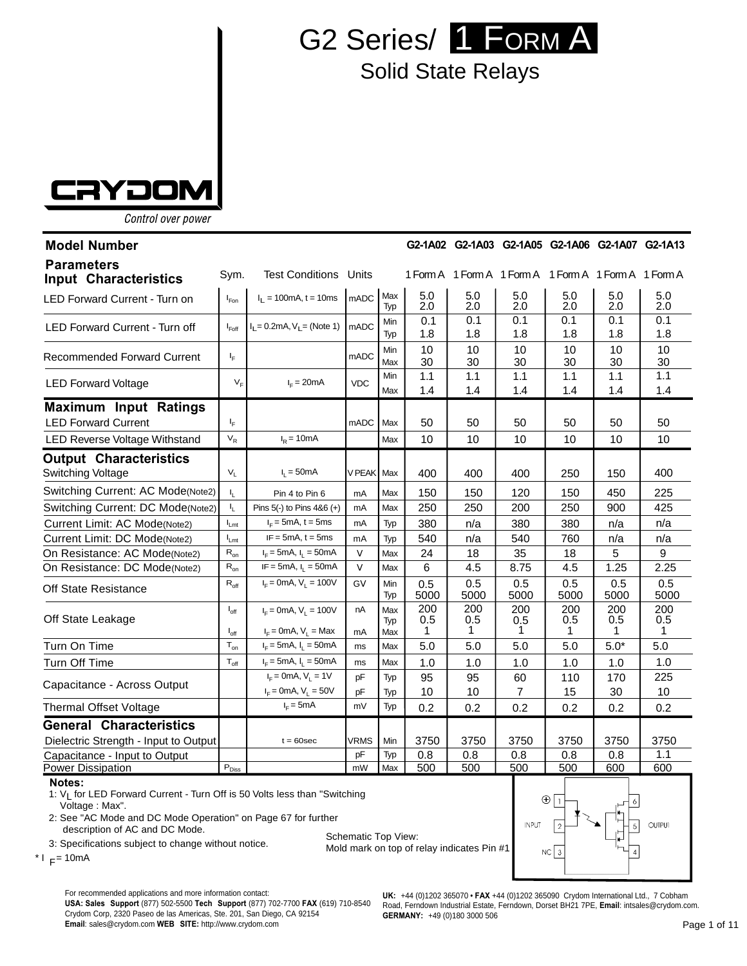

## Solid State Relays



Control over power

| <b>Model Number</b>                                        |                                      |                                                        |              |                   |                 |                 | G2-1A02 G2-1A03 G2-1A05 G2-1A06 G2-1A07 G2-1A13       |                 |                 |                 |
|------------------------------------------------------------|--------------------------------------|--------------------------------------------------------|--------------|-------------------|-----------------|-----------------|-------------------------------------------------------|-----------------|-----------------|-----------------|
| <b>Parameters</b><br><b>Input Characteristics</b>          | Sym.                                 | <b>Test Conditions</b>                                 | Units        |                   |                 |                 | 1 Form A 1 Form A 1 Form A 1 Form A 1 Form A 1 Form A |                 |                 |                 |
| <b>LED Forward Current - Turn on</b>                       | $I_{\text{Fon}}$                     | $I_1 = 100 \text{mA}, t = 10 \text{ms}$                | <b>mADC</b>  | Max<br>Typ        | 5.0<br>2.0      | 5.0<br>2.0      | 5.0<br>2.0                                            | 5.0<br>2.0      | 5.0<br>2.0      | 5.0<br>2.0      |
| <b>LED Forward Current - Turn off</b>                      | $I_{\mathsf{Foff}}$                  | $I_L = 0.2 \text{mA}, V_L = (\text{Note 1})$           | mADC         | Min<br>Typ        | 0.1<br>1.8      | 0.1<br>1.8      | 0.1<br>1.8                                            | 0.1<br>1.8      | 0.1<br>1.8      | 0.1<br>1.8      |
| <b>Recommended Forward Current</b>                         | IF.                                  |                                                        | mADC         | Min<br>Max        | 10<br>30        | 10<br>30        | 10<br>30                                              | 10<br>30        | 10<br>30        | 10<br>30        |
| <b>LED Forward Voltage</b>                                 | $V_F$                                | $I_F = 20mA$                                           | <b>VDC</b>   | Min<br>Max        | 1.1<br>1.4      | 1.1<br>1.4      | $1.1$<br>1.4                                          | 1.1<br>1.4      | 1.1<br>1.4      | 1.1<br>1.4      |
| <b>Maximum Input Ratings</b><br><b>LED Forward Current</b> | ı,                                   |                                                        | <b>mADC</b>  | Max               | 50              | 50              | 50                                                    | 50              | 50              | 50              |
| LED Reverse Voltage Withstand                              | $V_R$                                | $IR = 10mA$                                            |              | Max               | 10              | 10              | 10                                                    | 10              | 10              | 10              |
| <b>Output Characteristics</b><br>Switching Voltage         | $V_{L}$                              | $I_1 = 50mA$                                           | V PEAK       | Max               | 400             | 400             | 400                                                   | 250             | 150             | 400             |
| Switching Current: AC Mode(Note2)                          | I <sub>L</sub>                       | Pin 4 to Pin 6                                         | mA           | Max               | 150             | 150             | 120                                                   | 150             | 450             | 225             |
| Switching Current: DC Mode(Note2)                          | $I_{L}$                              | Pins 5(-) to Pins 4&6 (+)                              | mA           | Max               | 250             | 250             | 200                                                   | 250             | 900             | 425             |
| Current Limit: AC Mode(Note2)                              | $I_{Lmt}$                            | $IF = 5mA$ , t = 5ms                                   | mA           | Typ               | 380             | n/a             | 380                                                   | 380             | n/a             | n/a             |
| Current Limit: DC Mode(Note2)                              | $I_{Lmt}$                            | $IF = 5mA$ , $t = 5ms$                                 | mA           | Typ               | 540             | n/a             | 540                                                   | 760             | n/a             | n/a             |
| On Resistance: AC Mode(Note2)                              | $R_{on}$                             | $I_F = 5mA, I_L = 50mA$                                | $\vee$       | Max               | 24              | 18              | 35                                                    | 18              | 5               | 9               |
| On Resistance: DC Mode(Note2)                              | $R_{on}$                             | $IF = 5mA, I_1 = 50mA$                                 | $\mathsf{V}$ | Max               | 6               | 4.5             | 8.75                                                  | 4.5             | 1.25            | 2.25            |
| Off State Resistance                                       | $R_{\text{off}}$                     | $I_F = 0$ mA, $V_L = 100V$                             | GV           | Min<br>Typ        | 0.5<br>5000     | 0.5<br>5000     | 0.5<br>5000                                           | 0.5<br>5000     | 0.5<br>5000     | 0.5<br>5000     |
| Off State Leakage                                          | $I_{\text{off}}$<br>$I_{\text{off}}$ | $I_F = 0$ mA, $V_L = 100V$<br>$I_F$ = 0mA, $V_I$ = Max | nA<br>mA     | Max<br>Typ<br>Max | 200<br>0.5<br>1 | 200<br>0.5<br>1 | 200<br>0.5<br>1                                       | 200<br>0.5<br>1 | 200<br>0.5<br>1 | 200<br>0.5<br>1 |
| Turn On Time                                               | $T_{on}$                             | $I_F = 5mA, I_1 = 50mA$                                | ms           | Max               | 5.0             | 5.0             | 5.0                                                   | 5.0             | $5.0*$          | 5.0             |
| Turn Off Time                                              | $T_{\text{off}}$                     | $I_F = 5mA, I_L = 50mA$                                | ms           | Max               | 1.0             | 1.0             | 1.0                                                   | 1.0             | 1.0             | 1.0             |
| Capacitance - Across Output                                |                                      | $I_F = 0$ mA, $V_1 = 1V$                               | pF           | Typ               | 95              | 95              | 60                                                    | 110             | 170             | 225             |
|                                                            |                                      | $I_F = 0$ mA, $V_L = 50V$                              | pF           | Typ               | 10              | 10              | $\overline{7}$                                        | 15              | 30              | 10              |
| <b>Thermal Offset Voltage</b>                              |                                      | $I_F = 5mA$                                            | mV           | Typ               | 0.2             | 0.2             | 0.2                                                   | 0.2             | 0.2             | 0.2             |
| <b>General Characteristics</b>                             |                                      |                                                        |              |                   |                 |                 |                                                       |                 |                 |                 |
| Dielectric Strength - Input to Output                      |                                      | $t = 60$ sec                                           | VRMS         | Min               | 3750            | 3750            | 3750                                                  | 3750            | 3750            | 3750            |
| Capacitance - Input to Output                              |                                      |                                                        | pF           | Typ               | 0.8             | 0.8             | 0.8                                                   | 0.8             | 0.8             | 1.1             |
| <b>Power Dissipation</b>                                   | $P_{\text{Diss}}$                    |                                                        | mW           | Max               | 500             | 500             | 500                                                   | 500             | 600             | 600             |

**Notes:**

1: V<sub>I</sub> for LED Forward Current - Turn Off is 50 Volts less than "Switching Voltage : Max".

2: See "AC Mode and DC Mode Operation" on Page 67 for further description of AC and DC Mode.

3: Specifications subject to change without notice.

 $*$  I  $_F$  = 10mA

Schematic Top View: Mold mark on top of relay indicates Pin #1



For recommended applications and more information contact:

**USA: Sales Support** (877) 502-5500 **Tech Support** (877) 702-7700 **FAX** (619) 710-8540 Crydom Corp, 2320 Paseo de las Americas, Ste. 201, San Diego, CA 92154 **Email**: sales@crydom.com **WEB SITE:** http://www.crydom.com

**UK:** +44 (0)1202 365070 • **FAX** +44 (0)1202 365090 Crydom International Ltd., 7 Cobham Road, Ferndown Industrial Estate, Ferndown, Dorset BH21 7PE, **Email**: intsales@crydom.com. **GERMANY:** +49 (0)180 3000 506